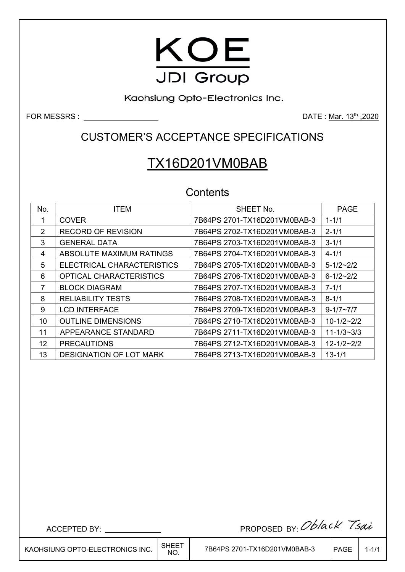

Kaohsiung Opto-Electronics Inc.

**FOR MESSRS :** <u>DATE : Mar. 13th</u> ,2020

CUSTOMER'S ACCEPTANCE SPECIFICATIONS

# TX16D201VM0BAB

# **Contents**

| No. | <b>ITEM</b>                    | SHEET No.                    | <b>PAGE</b>        |
|-----|--------------------------------|------------------------------|--------------------|
| 1   | <b>COVER</b>                   | 7B64PS 2701-TX16D201VM0BAB-3 | $1 - 1/1$          |
| 2   | RECORD OF REVISION             | 7B64PS 2702-TX16D201VM0BAB-3 | $2 - 1/1$          |
| 3   | <b>GENERAL DATA</b>            | 7B64PS 2703-TX16D201VM0BAB-3 | $3 - 1/1$          |
| 4   | ABSOLUTE MAXIMUM RATINGS       | 7B64PS 2704-TX16D201VM0BAB-3 | $4 - 1/1$          |
| 5   | ELECTRICAL CHARACTERISTICS     | 7B64PS 2705-TX16D201VM0BAB-3 | $5 - 1/2 \sim 2/2$ |
| 6   | <b>OPTICAL CHARACTERISTICS</b> | 7B64PS 2706-TX16D201VM0BAB-3 | $6 - 1/2 - 2/2$    |
| 7   | <b>BLOCK DIAGRAM</b>           | 7B64PS 2707-TX16D201VM0BAB-3 | $7 - 1/1$          |
| 8   | <b>RELIABILITY TESTS</b>       | 7B64PS 2708-TX16D201VM0BAB-3 | $8 - 1/1$          |
| 9   | <b>LCD INTERFACE</b>           | 7B64PS 2709-TX16D201VM0BAB-3 | $9 - 1/7 \sim 7/7$ |
| 10  | <b>OUTLINE DIMENSIONS</b>      | 7B64PS 2710-TX16D201VM0BAB-3 | $10-1/2-2/2$       |
| 11  | APPEARANCE STANDARD            | 7B64PS 2711-TX16D201VM0BAB-3 | $11 - 1/3 - 3/3$   |
| 12  | <b>PRECAUTIONS</b>             | 7B64PS 2712-TX16D201VM0BAB-3 | $12 - 1/2 - 2/2$   |
| 13  | <b>DESIGNATION OF LOT MARK</b> | 7B64PS 2713-TX16D201VM0BAB-3 | $13 - 1/1$         |

ACCEPTED BY: PROPOSED BY:

 $\overline{\phantom{a}}$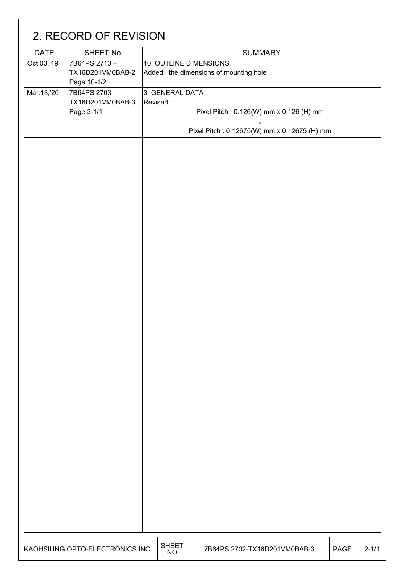|             | 2. RECORD OF REVISION                                         |                             |                                                                                        |      |           |
|-------------|---------------------------------------------------------------|-----------------------------|----------------------------------------------------------------------------------------|------|-----------|
| <b>DATE</b> | SHEET No.                                                     |                             | <b>SUMMARY</b>                                                                         |      |           |
| Oct.03,'19  | 7B64PS 2710-<br>TX16D201VM0BAB-2                              | 10. OUTLINE DIMENSIONS      | Added: the dimensions of mounting hole                                                 |      |           |
| Mar.13,'20  | Page 10-1/2<br>7B64PS 2703-<br>TX16D201VM0BAB-3<br>Page 3-1/1 | 3. GENERAL DATA<br>Revised: | Pixel Pitch: 0.126(W) mm x 0.126 (H) mm<br>Pixel Pitch: 0.12675(W) mm x 0.12675 (H) mm |      |           |
|             |                                                               |                             |                                                                                        |      |           |
|             | KAOHSIUNG OPTO-ELECTRONICS INC.                               | <b>SHEET</b><br>NO.         | 7B64PS 2702-TX16D201VM0BAB-3                                                           | PAGE | $2 - 1/1$ |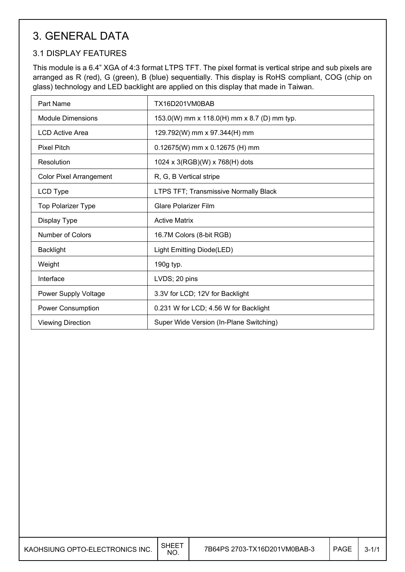# 3. GENERAL DATA

## 3.1 DISPLAY FEATURES

This module is a 6.4" XGA of 4:3 format LTPS TFT. The pixel format is vertical stripe and sub pixels are arranged as R (red), G (green), B (blue) sequentially. This display is RoHS compliant, COG (chip on glass) technology and LED backlight are applied on this display that made in Taiwan.

| Part Name                      | TX16D201VM0BAB                               |
|--------------------------------|----------------------------------------------|
| <b>Module Dimensions</b>       | 153.0(W) mm x 118.0(H) mm x 8.7 (D) mm typ.  |
| <b>LCD Active Area</b>         | 129.792(W) mm x 97.344(H) mm                 |
| <b>Pixel Pitch</b>             | $0.12675(W)$ mm x 0.12675 (H) mm             |
| Resolution                     | 1024 x 3(RGB)(W) x 768(H) dots               |
| <b>Color Pixel Arrangement</b> | R, G, B Vertical stripe                      |
| LCD Type                       | <b>LTPS TFT; Transmissive Normally Black</b> |
| <b>Top Polarizer Type</b>      | Glare Polarizer Film                         |
| Display Type                   | <b>Active Matrix</b>                         |
| Number of Colors               | 16.7M Colors (8-bit RGB)                     |
| <b>Backlight</b>               | Light Emitting Diode(LED)                    |
| Weight                         | 190g typ.                                    |
| Interface                      | LVDS; 20 pins                                |
| Power Supply Voltage           | 3.3V for LCD; 12V for Backlight              |
| <b>Power Consumption</b>       | 0.231 W for LCD; 4.56 W for Backlight        |
| <b>Viewing Direction</b>       | Super Wide Version (In-Plane Switching)      |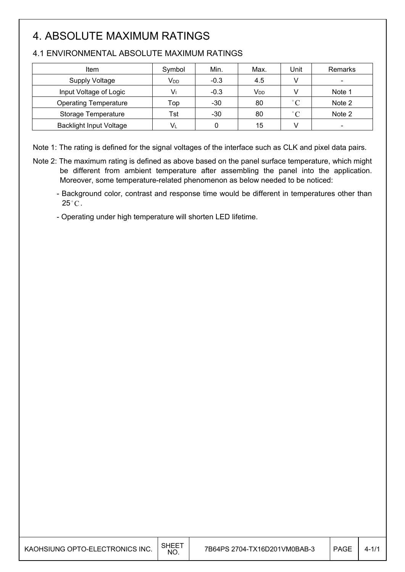# 4. ABSOLUTE MAXIMUM RATINGS

 $\overline{\phantom{a}}$ 

 $\overline{\phantom{a}}$ 

| Item                           | Symbol          | Min.   | Max.            | Unit        | Remarks        |
|--------------------------------|-----------------|--------|-----------------|-------------|----------------|
| <b>Supply Voltage</b>          | V <sub>DD</sub> | $-0.3$ | 4.5             | $\vee$      | $\blacksquare$ |
| Input Voltage of Logic         |                 | $-0.3$ | V <sub>DD</sub> |             | Note 1         |
| <b>Operating Temperature</b>   | Top             | $-30$  | 80              | $\degree$ C | Note 2         |
| <b>Storage Temperature</b>     | Tst             | $-30$  | 80              | $\degree$ C | Note 2         |
| <b>Backlight Input Voltage</b> | Vı              |        | 15              |             |                |

### 4.1 ENVIRONMENTAL ABSOLUTE MAXIMUM RATINGS

Note 1: The rating is defined for the signal voltages of the interface such as CLK and pixel data pairs.

- Note 2: The maximum rating is defined as above based on the panel surface temperature, which might be different from ambient temperature after assembling the panel into the application. Moreover, some temperature-related phenomenon as below needed to be noticed:
	- Background color, contrast and response time would be different in temperatures other than  $25^{\circ}$ C.
	- Operating under high temperature will shorten LED lifetime.

| KAOHSIUNG OPTO-ELECTRONICS INC. | SHEE<br>NO. | 7B64PS 2704-TX16D201VM0BAB-3 | <b>PAGE</b> | $4 - 1/1$ |
|---------------------------------|-------------|------------------------------|-------------|-----------|
|---------------------------------|-------------|------------------------------|-------------|-----------|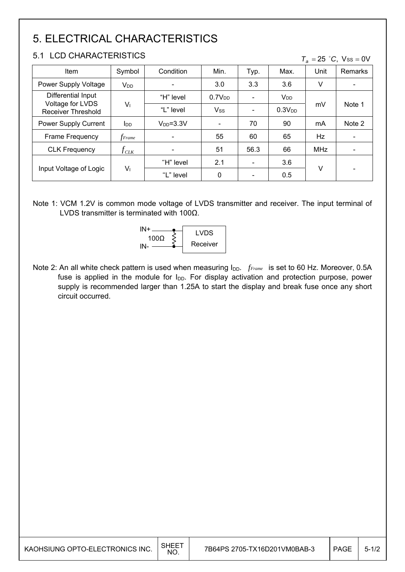# 5. ELECTRICAL CHARACTERISTICS

## 5.1 LCD CHARACTERISTICS

|  |  | $T_a = 25$ °C, Vss = 0V |  |  |  |
|--|--|-------------------------|--|--|--|
|--|--|-------------------------|--|--|--|

| Item                                          | Symbol                   | Condition       | Min.               | Typ.           | Max.                  | Unit       | <b>Remarks</b>           |
|-----------------------------------------------|--------------------------|-----------------|--------------------|----------------|-----------------------|------------|--------------------------|
| Power Supply Voltage                          | V <sub>DD</sub>          | $\blacksquare$  | 3.0                | 3.3            | 3.6                   | ٧          | $\blacksquare$           |
| Differential Input                            |                          | "H" level       | 0.7V <sub>DD</sub> | $\blacksquare$ | <b>V<sub>DD</sub></b> |            | Note 1                   |
| Voltage for LVDS<br><b>Receiver Threshold</b> | $V_{1}$                  | "L" level       | <b>Vss</b>         | $\blacksquare$ | 0.3V <sub>DD</sub>    | mV         |                          |
| Power Supply Current                          | $I_{DD}$                 | $V_{DD} = 3.3V$ | -                  | 70             | 90                    | mA         | Note 2                   |
| Frame Frequency                               | <i>f<sub>Frame</sub></i> | $\blacksquare$  | 55                 | 60             | 65                    | Hz         | $\overline{\phantom{a}}$ |
| <b>CLK Frequency</b>                          | $f_{\textit{CLK}}$       | $\blacksquare$  | 51                 | 56.3           | 66                    | <b>MHz</b> | ۰                        |
|                                               |                          | "H" level       | 2.1                | ۰              | 3.6                   |            |                          |
| Input Voltage of Logic                        | V <sub>1</sub>           | "L" level       | $\mathbf{0}$       | ۰              | 0.5                   | V          | -                        |

Note 1: VCM 1.2V is common mode voltage of LVDS transmitter and receiver. The input terminal of LVDS transmitter is terminated with 100Ω.



Note 2: An all white check pattern is used when measuring I<sub>DD</sub>. *fFrame* is set to 60 Hz. Moreover, 0.5A fuse is applied in the module for  $I_{DD}$ . For display activation and protection purpose, power supply is recommended larger than 1.25A to start the display and break fuse once any short circuit occurred.

| KAOHSIUNG OPTO-ELECTRONICS INC. | <b>SHEET</b><br><b>NO</b> | 7B64PS 2705-TX16D201VM0BAB-3 | PAGE | $5 - 1/2$ |
|---------------------------------|---------------------------|------------------------------|------|-----------|
|---------------------------------|---------------------------|------------------------------|------|-----------|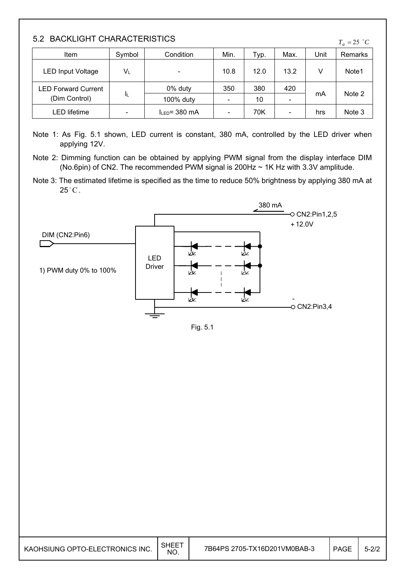| 5.2 BACKLIGHT CHARACTERISTICS<br>$T_a = 25$ °C |        |                    |      |      |      |      |         |  |  |
|------------------------------------------------|--------|--------------------|------|------|------|------|---------|--|--|
| Item                                           | Symbol | Condition          | Min. | Typ. | Max. | Unit | Remarks |  |  |
| <b>LED Input Voltage</b>                       | VL     |                    | 10.8 | 12.0 | 13.2 |      | Note1   |  |  |
| <b>LED Forward Current</b>                     |        | 0% duty            | 350  | 380  | 420  |      |         |  |  |
| ΙL<br>(Dim Control)                            |        | 100% duty          |      | 10   |      | mA   | Note 2  |  |  |
| LED lifetime                                   |        | $I_{LED} = 380$ mA |      | 70K  | ۰    | hrs  | Note 3  |  |  |

Note 1: As Fig. 5.1 shown, LED current is constant, 380 mA, controlled by the LED driver when applying 12V.

Note 2: Dimming function can be obtained by applying PWM signal from the display interface DIM (No.6pin) of CN2. The recommended PWM signal is 200Hz ~ 1K Hz with 3.3V amplitude.

Note 3: The estimated lifetime is specified as the time to reduce 50% brightness by applying 380 mA at  $25^{\circ}$ C.



|--|--|

| KAOHSIUNG OPTO-ELECTRONICS INC. | <b>SHEE</b><br><b>NO</b> |  | <b>PAGE</b> | $5 - 2/2$ |
|---------------------------------|--------------------------|--|-------------|-----------|
|---------------------------------|--------------------------|--|-------------|-----------|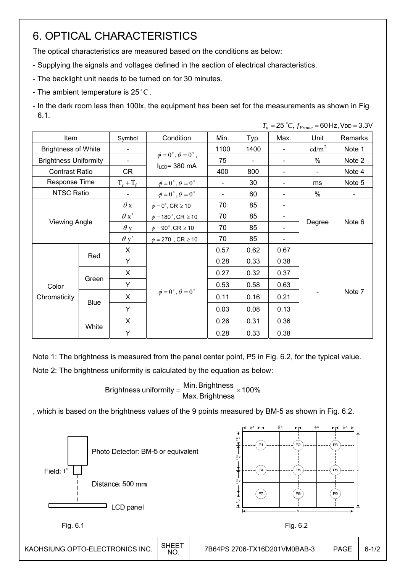# 6. OPTICAL CHARACTERISTICS

The optical characteristics are measured based on the conditions as below:

- Supplying the signals and voltages defined in the section of electrical characteristics.
- The backlight unit needs to be turned on for 30 minutes.
- The ambient temperature is  $25^{\circ}$ C.
- In the dark room less than 100lx, the equipment has been set for the measurements as shown in Fig 6.1.  $T = 25$  <sup>o</sup>C,  $f_E = 60$  Hz, V<sub>DD</sub> = 3.3V

|                              |       |             |                                          |      |      |                          |                              | $ -$ , $       -$ |
|------------------------------|-------|-------------|------------------------------------------|------|------|--------------------------|------------------------------|-------------------|
| Item                         |       | Symbol      | Condition                                | Min. | Typ. | Max.                     | Unit                         | Remarks           |
| <b>Brightness of White</b>   |       |             |                                          | 1100 | 1400 | $\overline{\phantom{0}}$ | $\text{cd/m}^2$              | Note 1            |
| <b>Brightness Uniformity</b> |       |             | $\phi = 0^{\circ}, \theta = 0^{\circ}$ , | 75   |      |                          | $\%$                         | Note 2            |
| <b>Contrast Ratio</b>        |       | CR          | $I_{LED} = 380$ mA                       | 400  | 800  | $\overline{\phantom{0}}$ | $\blacksquare$               | Note 4            |
| Response Time                |       | $T_r + T_f$ | $\phi = 0^{\circ}, \theta = 0^{\circ}$   |      | 30   | $\blacksquare$           | ms                           | Note 5            |
| <b>NTSC Ratio</b>            |       |             | $\phi = 0^\circ$ , $\theta = 0^\circ$    |      | 60   |                          | %                            | $\blacksquare$    |
|                              |       | $\theta$ x  | $\phi = 0^\circ$ , CR $\geq 10$          | 70   | 85   | -                        |                              |                   |
|                              |       | $\theta x'$ | $\phi = 180^\circ$ , CR $\geq 10$        | 70   | 85   |                          |                              |                   |
| <b>Viewing Angle</b>         |       | $\theta$ y  | $\phi = 90^\circ$ , CR $\geq 10$         | 70   | 85   | -                        | Degree                       | Note 6            |
|                              |       |             | $\phi = 270^\circ$ , CR $\geq 10$        | 70   | 85   |                          |                              |                   |
|                              |       | X           |                                          | 0.57 | 0.62 | 0.67                     | $\qquad \qquad \blacksquare$ | Note 7            |
|                              | Red   | Y           |                                          | 0.28 | 0.33 | 0.38                     |                              |                   |
|                              |       | X           |                                          | 0.27 | 0.32 | 0.37                     |                              |                   |
| Color                        | Green | Y           |                                          | 0.53 | 0.58 | 0.63                     |                              |                   |
| Chromaticity                 |       | X           | $\phi = 0^{\circ}, \theta = 0^{\circ}$   | 0.11 | 0.16 | 0.21                     |                              |                   |
|                              | Blue  | Y           |                                          | 0.03 | 0.08 | 0.13                     |                              |                   |
|                              | White | X           |                                          | 0.26 | 0.31 | 0.36                     |                              |                   |
|                              |       | Y           |                                          | 0.28 | 0.33 | 0.38                     |                              |                   |

Note 1: The brightness is measured from the panel center point, P5 in Fig. 6.2, for the typical value.

Note 2: The brightness uniformity is calculated by the equation as below:

Brightness uniformity  $=\frac{1000 \text{ m}}{1000 \text{ m}} \times 100\%$ Max.Brightness Brightness uniformity =  $\frac{\text{Min.~Brightness}}{\text{max.~A}} \times$ 

, which is based on the brightness values of the 9 points measured by BM-5 as shown in Fig. 6.2.

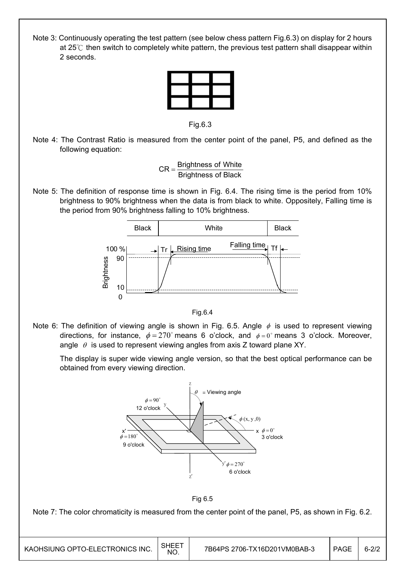Note 3: Continuously operating the test pattern (see below chess pattern Fig.6.3) on display for 2 hours at 25℃ then switch to completely white pattern, the previous test pattern shall disappear within 2 seconds.



Fig.6.3

Note 4: The Contrast Ratio is measured from the center point of the panel, P5, and defined as the following equation:

> Brightness of Black  $CR =$ Brightness of White

Note 5: The definition of response time is shown in Fig. 6.4. The rising time is the period from 10% brightness to 90% brightness when the data is from black to white. Oppositely, Falling time is the period from 90% brightness falling to 10% brightness.



Fig.6.4

Note 6: The definition of viewing angle is shown in Fig. 6.5. Angle  $\phi$  is used to represent viewing directions, for instance,  $\phi = 270^{\circ}$  means 6 o'clock, and  $\phi = 0^{\circ}$  means 3 o'clock. Moreover, angle  $\theta$  is used to represent viewing angles from axis Z toward plane XY.

 The display is super wide viewing angle version, so that the best optical performance can be obtained from every viewing direction.





Note 7: The color chromaticity is measured from the center point of the panel, P5, as shown in Fig. 6.2.

| KAOHSIUNG OPTO-ELECTRONICS INC. | <b>SHEET</b><br>NO. | 7B64PS 2706-TX16D201VM0BAB-3 | PAGE | $6 - 2/2$ |
|---------------------------------|---------------------|------------------------------|------|-----------|
|---------------------------------|---------------------|------------------------------|------|-----------|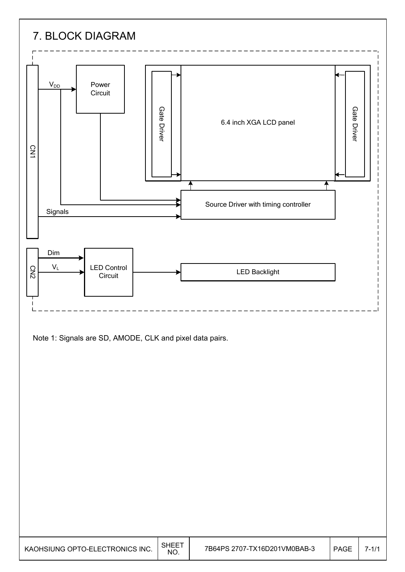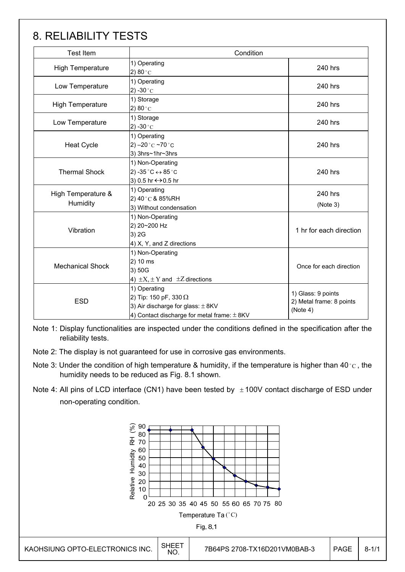# 8. RELIABILITY TESTS

| <b>Test Item</b>                                                                                                 | Condition                                                                                                                                |                                                            |  |
|------------------------------------------------------------------------------------------------------------------|------------------------------------------------------------------------------------------------------------------------------------------|------------------------------------------------------------|--|
| <b>High Temperature</b>                                                                                          | 1) Operating<br>2) 80 $^{\circ}$ C                                                                                                       | 240 hrs                                                    |  |
| Low Temperature                                                                                                  | 1) Operating<br>2) -30 $^{\circ}$ C                                                                                                      | 240 hrs                                                    |  |
| <b>High Temperature</b>                                                                                          | 1) Storage<br>2) 80 $^{\circ}$ C                                                                                                         | 240 hrs                                                    |  |
| Low Temperature                                                                                                  | 1) Storage<br>2) -30 $^{\circ}$ C                                                                                                        | 240 hrs                                                    |  |
| <b>Heat Cycle</b>                                                                                                | 1) Operating<br>2) $-20$ °C $-70$ °C<br>3) 3hrs~1hr~3hrs                                                                                 | 240 hrs                                                    |  |
| <b>Thermal Shock</b>                                                                                             | 1) Non-Operating<br>2) -35 $^{\circ}$ C $\leftrightarrow$ 85 $^{\circ}$ C<br>3) 0.5 hr ↔ 0.5 hr                                          |                                                            |  |
| High Temperature &<br>Humidity                                                                                   | 1) Operating<br>2) 40 °C & 85%RH<br>3) Without condensation                                                                              | 240 hrs<br>(Note 3)                                        |  |
| Vibration                                                                                                        | 1) Non-Operating<br>2) 20~200 Hz<br>3) 2G<br>4) X, Y, and Z directions                                                                   |                                                            |  |
| 1) Non-Operating<br>2) 10 ms<br><b>Mechanical Shock</b><br>3) 50G<br>4) $\pm X$ , $\pm Y$ and $\pm Z$ directions |                                                                                                                                          | Once for each direction                                    |  |
| <b>ESD</b>                                                                                                       | 1) Operating<br>2) Tip: 150 pF, 330 $\Omega$<br>3) Air discharge for glass: $\pm$ 8KV<br>4) Contact discharge for metal frame: $\pm$ 8KV | 1) Glass: 9 points<br>2) Metal frame: 8 points<br>(Note 4) |  |

Note 1: Display functionalities are inspected under the conditions defined in the specification after the reliability tests.

- Note 2: The display is not guaranteed for use in corrosive gas environments.
- Note 3: Under the condition of high temperature & humidity, if the temperature is higher than 40 °C, the humidity needs to be reduced as Fig. 8.1 shown.
- Note 4: All pins of LCD interface (CN1) have been tested by  $\pm$  100V contact discharge of ESD under non-operating condition.

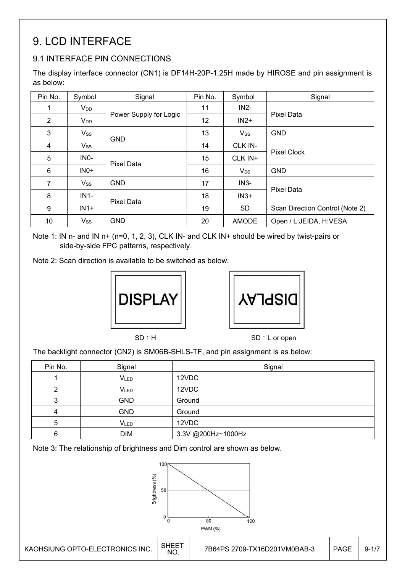# 9. LCD INTERFACE

# 9.1 INTERFACE PIN CONNECTIONS

The display interface connector (CN1) is DF14H-20P-1.25H made by HIROSE and pin assignment is as below:

| Pin No.                 | Symbol          | Signal                 | Pin No. | Symbol       | Signal                          |  |
|-------------------------|-----------------|------------------------|---------|--------------|---------------------------------|--|
|                         | V <sub>DD</sub> |                        | 11      | $IN2-$       |                                 |  |
| 2                       | V <sub>DD</sub> | Power Supply for Logic | 12      | $IN2+$       | Pixel Data                      |  |
| 3                       | $V_{SS}$        |                        | 13      | $V_{SS}$     | <b>GND</b>                      |  |
| $\overline{\mathbf{4}}$ | Vss             | <b>GND</b>             | 14      | CLK IN-      | <b>Pixel Clock</b>              |  |
| 5                       | INO-            | <b>Pixel Data</b>      | 15      | CLK IN+      |                                 |  |
| 6                       | $INO+$          |                        | 16      | $V_{SS}$     | <b>GND</b>                      |  |
| 7                       | <b>Vss</b>      | <b>GND</b>             | 17      | $IN3-$       |                                 |  |
| 8                       | $IN1-$          |                        | 18      | $IN3+$       | <b>Pixel Data</b>               |  |
| 9                       | $IN1+$          | <b>Pixel Data</b>      | 19      | <b>SD</b>    | Scan Direction Control (Note 2) |  |
| 10                      | $V_{SS}$        | <b>GND</b>             | 20      | <b>AMODE</b> | Open / L:JEIDA, H:VESA          |  |

Note 1: IN n- and IN n+ (n=0, 1, 2, 3), CLK IN- and CLK IN+ should be wired by twist-pairs or side-by-side FPC patterns, respectively.

Note 2: Scan direction is available to be switched as below.





SD: H SD: L or open

The backlight connector (CN2) is SM06B-SHLS-TF, and pin assignment is as below:

| Pin No. | Signal     | Signal             |
|---------|------------|--------------------|
|         | VLED       | 12VDC              |
|         | VLED       | 12VDC              |
|         | <b>GND</b> | Ground             |
|         | <b>GND</b> | Ground             |
| 5       | VLED       | 12VDC              |
| 6       | <b>DIM</b> | 3.3V @200Hz~1000Hz |

Note 3: The relationship of brightness and Dim control are shown as below.



 $\overline{a}$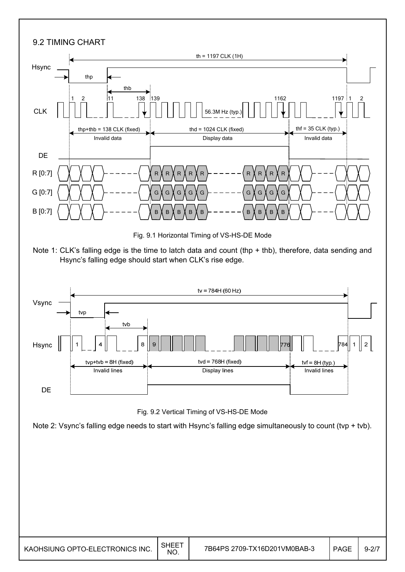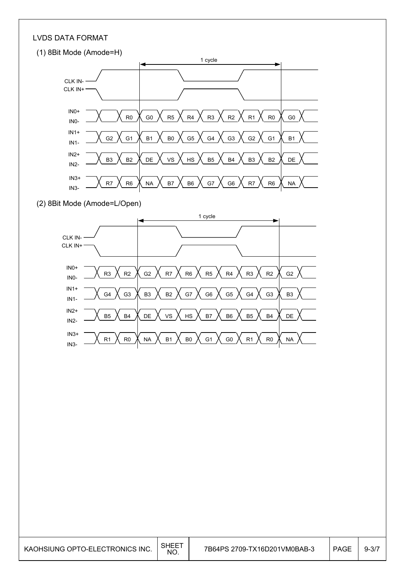#### LVDS DATA FORMAT



#### (2) 8Bit Mode (Amode=L/Open)



KAOHSIUNG OPTO-ELECTRONICS INC.  $\Big|\!\!\big|^{\text{SHEET}}$ 7B64PS 2709-TX16D201VM0BAB-3 | PAGE 9-3/7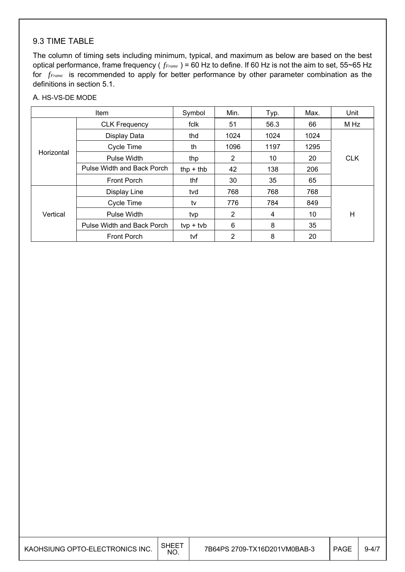### 9.3 TIME TABLE

The column of timing sets including minimum, typical, and maximum as below are based on the best optical performance, frame frequency ( *fFrame* ) = 60 Hz to define. If 60 Hz is not the aim to set, 55~65 Hz for *fFrame* is recommended to apply for better performance by other parameter combination as the definitions in section 5.1.

#### A. HS-VS-DE MODE

| Item       |                            | Symbol      | Min.           | Typ. | Max. | Unit       |
|------------|----------------------------|-------------|----------------|------|------|------------|
|            | <b>CLK Frequency</b>       | fclk        | 51             | 56.3 | 66   | M Hz       |
|            | Display Data               | thd         | 1024           | 1024 | 1024 |            |
|            | Cycle Time                 | th          | 1096           | 1197 | 1295 |            |
| Horizontal | Pulse Width                | thp         | 2              | 10   | 20   | <b>CLK</b> |
|            | Pulse Width and Back Porch | thp $+$ thb | 42             | 138  | 206  |            |
|            | <b>Front Porch</b>         | thf         | 30             | 35   | 65   |            |
|            | Display Line               | tvd         | 768            | 768  | 768  |            |
|            | Cycle Time                 | tv          | 776            | 784  | 849  |            |
| Vertical   | Pulse Width                | tvp         | $\overline{2}$ | 4    | 10   | H          |
|            | Pulse Width and Back Porch | $typ + tvb$ | 6              | 8    | 35   |            |
|            | Front Porch                | tvf         | 2              | 8    | 20   |            |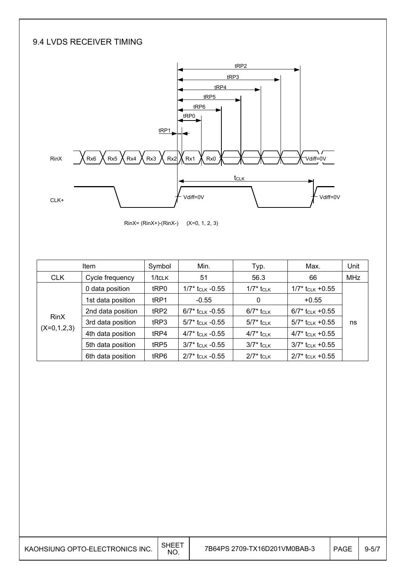## 9.4 LVDS RECEIVER TIMING



RinX= (RinX+)-(RinX-) (X=0, 1, 2, 3)

| <b>Item</b>   |                   | Symbol       | Min.                           | Typ.                                | Max.                           | Unit       |
|---------------|-------------------|--------------|--------------------------------|-------------------------------------|--------------------------------|------------|
| <b>CLK</b>    | Cycle frequency   | $1$ /tcl $K$ | 51                             | 56.3                                | 66                             | <b>MHz</b> |
|               | 0 data position   | tRP0         | $1/7^*$ t <sub>CLK</sub> -0.55 | $1/7^*$ t <sub>CLK</sub>            | $1/7$ * t <sub>CLK</sub> +0.55 |            |
|               | 1st data position | tRP1         | $-0.55$                        | 0                                   | $+0.55$                        |            |
|               | 2nd data position | tRP2         | $6/7$ * tclk -0.55             | $6/7$ <sup>*</sup> t <sub>CLK</sub> | $6/7^*$ t <sub>CLK</sub> +0.55 |            |
| <b>RinX</b>   | 3rd data position | tRP3         | $5/7^*$ tclk -0.55             | $5/7^*$ t <sub>CLK</sub>            | $5/7$ * t <sub>CLK</sub> +0.55 | ns         |
| $(X=0,1,2,3)$ | 4th data position | tRP4         | $4/7$ * t <sub>CLK</sub> -0.55 | $4/7$ * tclk                        | $4/7$ t <sub>CLK</sub> +0.55   |            |
|               | 5th data position | tRP5         | $3/7$ * t <sub>CLK</sub> -0.55 | $3/7$ * tclk                        | $3/7$ * t <sub>CLK</sub> +0.55 |            |
|               | 6th data position | tRP6         | $2/7$ t <sub>CLK</sub> -0.55   | $2/7$ * tclk                        | $2/7$ * t <sub>CLK</sub> +0.55 |            |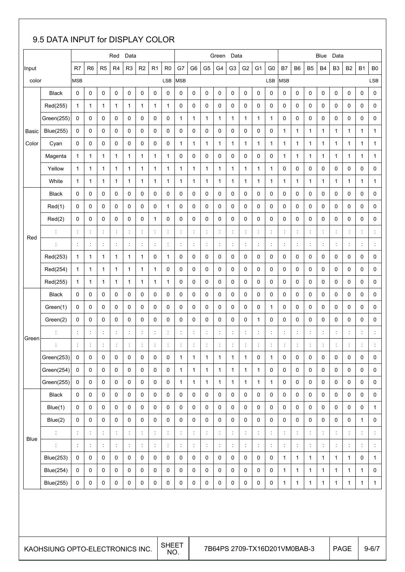# 9.5 DATA INPUT for DISPLAY COLOR

|       |                                 |                      |                      |                      | Red                  | Data                 |                |                      |                |                      |                |                      | Green                | Data           |                      |                      |                              |                          |                      |                | Blue           | Data                 |              |                      |                |
|-------|---------------------------------|----------------------|----------------------|----------------------|----------------------|----------------------|----------------|----------------------|----------------|----------------------|----------------|----------------------|----------------------|----------------|----------------------|----------------------|------------------------------|--------------------------|----------------------|----------------|----------------|----------------------|--------------|----------------------|----------------|
| Input |                                 | R7                   | R <sub>6</sub>       | R <sub>5</sub>       | R <sub>4</sub>       | R <sub>3</sub>       | R <sub>2</sub> | R <sub>1</sub>       | R <sub>0</sub> | G7                   | G <sub>6</sub> | G <sub>5</sub>       | G <sub>4</sub>       | G <sub>3</sub> | G <sub>2</sub>       | G <sub>1</sub>       | G <sub>0</sub>               | B7                       | B <sub>6</sub>       | B <sub>5</sub> | <b>B4</b>      | B <sub>3</sub>       | <b>B2</b>    | <b>B1</b>            | B <sub>0</sub> |
| color |                                 | <b>MSB</b>           |                      |                      |                      |                      |                |                      | LSB            | <b>MSB</b>           |                |                      |                      |                |                      |                      | LSB                          | <b>MSB</b>               |                      |                |                |                      |              |                      | LSB            |
|       | <b>Black</b>                    | 0                    | $\pmb{0}$            | 0                    | 0                    | 0                    | 0              | 0                    | 0              | 0                    | 0              | 0                    | 0                    | 0              | $\mathbf 0$          | 0                    | 0                            | $\mathbf 0$              | 0                    | 0              | $\mathbf 0$    | 0                    | 0            | 0                    | 0              |
|       | Red(255)                        | $\mathbf{1}$         | $\mathbf{1}$         | $\mathbf{1}$         | 1                    | $\mathbf{1}$         | $\mathbf{1}$   | 1                    | $\mathbf{1}$   | 0                    | 0              | 0                    | 0                    | 0              | 0                    | 0                    | 0                            | 0                        | 0                    | 0              | 0              | 0                    | 0            | 0                    | 0              |
|       | Green(255)                      | 0                    | 0                    | 0                    | 0                    | 0                    | 0              | 0                    | 0              | 1                    | 1              | $\mathbf{1}$         | 1                    | 1              | $\mathbf{1}$         | $\mathbf{1}$         | 1                            | 0                        | 0                    | 0              | 0              | 0                    | 0            | 0                    | 0              |
| Basic | <b>Blue(255)</b>                | $\mathbf 0$          | $\mathbf 0$          | 0                    | $\mathbf 0$          | 0                    | 0              | 0                    | 0              | 0                    | 0              | 0                    | 0                    | 0              | 0                    | 0                    | 0                            | $\mathbf{1}$             | $\mathbf{1}$         | 1              | 1              | $\mathbf{1}$         | 1            | 1                    | $\mathbf{1}$   |
| Color | Cyan                            | 0                    | 0                    | 0                    | 0                    | 0                    | 0              | 0                    | 0              | 1                    | 1              | $\mathbf{1}$         | 1                    | 1              | 1                    | 1                    | 1                            | 1                        | 1                    | 1              | 1              | 1                    | 1            | 1                    | 1              |
|       | Magenta                         | $\mathbf{1}$         | 1                    | $\mathbf{1}$         | $\mathbf{1}$         | $\mathbf{1}$         | $\mathbf{1}$   | 1                    | $\mathbf{1}$   | 0                    | 0              | 0                    | 0                    | 0              | 0                    | 0                    | 0                            | 1                        | 1                    | 1              | 1              | 1                    | 1            | 1                    | 1              |
|       | Yellow                          | $\mathbf{1}$         | 1                    | 1                    | 1                    | $\mathbf{1}$         | 1              | 1                    | $\mathbf{1}$   | 1                    | 1              | $\mathbf{1}$         | 1                    | 1              | $\mathbf{1}$         | $\mathbf{1}$         | 1                            | 0                        | 0                    | 0              | 0              | 0                    | 0            | 0                    | 0              |
|       | White                           | $\mathbf{1}$         | 1                    | 1                    | 1                    | $\mathbf{1}$         | 1              | 1                    | $\mathbf{1}$   | 1                    | 1              | $\mathbf{1}$         | 1                    | 1              | 1                    | 1                    | 1                            | 1                        | $\mathbf{1}$         | 1              | 1              | $\mathbf{1}$         | 1            | 1                    | 1              |
|       | <b>Black</b>                    | 0                    | 0                    | 0                    | 0                    | 0                    | 0              | 0                    | 0              | 0                    | 0              | 0                    | 0                    | 0              | 0                    | 0                    | 0                            | 0                        | 0                    | 0              | 0              | 0                    | 0            | 0                    | 0              |
|       | Red(1)                          | 0                    | 0                    | 0                    | 0                    | 0                    | 0              | 0                    | $\mathbf{1}$   | 0                    | 0              | 0                    | 0                    | 0              | 0                    | 0                    | 0                            | 0                        | 0                    | 0              | 0              | 0                    | 0            | 0                    | 0              |
|       | Red(2)                          | 0                    | 0                    | 0                    | 0                    | 0                    | 0              | 1                    | 0              | 0                    | 0              | 0                    | 0                    | 0              | 0                    | 0                    | 0                            | 0                        | 0                    | 0              | 0              | 0                    | 0            | 0                    | 0              |
| Red   | $\ddot{\cdot}$                  | ÷                    | $\ddot{\phantom{a}}$ | t                    | t                    | ÷.                   | t              | t                    | ÷              | ÷                    | ÷              | $\ddot{\phantom{a}}$ | ÷                    | ÷              | ÷                    | t                    | t                            | $\overline{\phantom{a}}$ | t                    | t              | $\ddot{\cdot}$ | Ť.                   | t            | $\ddot{\cdot}$       | ÷              |
|       | ÷                               | $\ddot{\cdot}$       | $\ddot{\phantom{a}}$ | $\ddot{\phantom{a}}$ | $\ddot{\phantom{a}}$ | $\ddot{\cdot}$       | t              | $\ddot{\phantom{a}}$ | $\ddot{\cdot}$ | $\ddot{\cdot}$       | ÷              | $\ddot{\cdot}$       | $\ddot{\cdot}$       | t              | $\ddot{\phantom{a}}$ | t                    | t                            | $\overline{\phantom{a}}$ | ÷                    | t              | $\ddot{\cdot}$ | Ť.                   | t            | $\ddot{\cdot}$       | Ť,             |
|       | Red(253)                        | 1                    | $\mathbf{1}$         | 1                    | 1                    | $\mathbf{1}$         | 1              | 0                    | $\mathbf{1}$   | 0                    | 0              | 0                    | 0                    | 0              | 0                    | 0                    | 0                            | 0                        | 0                    | 0              | 0              | 0                    | 0            | 0                    | 0              |
|       | Red(254)                        | $\mathbf{1}$         | $\mathbf{1}$         | $\mathbf{1}$         | $\mathbf{1}$         | $\mathbf{1}$         | $\mathbf{1}$   | 1                    | 0              | 0                    | 0              | 0                    | 0                    | 0              | 0                    | 0                    | 0                            | 0                        | 0                    | 0              | 0              | 0                    | 0            | 0                    | 0              |
|       | Red(255)                        | 1                    | $\mathbf{1}$         | 1                    | 1                    | $\mathbf{1}$         | 1              | 1                    | $\mathbf{1}$   | 0                    | 0              | 0                    | 0                    | 0              | 0                    | 0                    | 0                            | 0                        | 0                    | 0              | 0              | 0                    | 0            | 0                    | 0              |
|       | <b>Black</b>                    | 0                    | 0                    | 0                    | 0                    | 0                    | 0              | 0                    | 0              | 0                    | 0              | 0                    | 0                    | 0              | 0                    | 0                    | 0                            | 0                        | 0                    | 0              | 0              | 0                    | 0            | 0                    | 0              |
|       | Green(1)                        | 0                    | 0                    | 0                    | 0                    | 0                    | 0              | 0                    | 0              | 0                    | 0              | 0                    | 0                    | 0              | 0                    | 0                    | 1                            | 0                        | 0                    | 0              | 0              | 0                    | 0            | 0                    | 0              |
|       | Green(2)                        | 0                    | 0                    | 0                    | 0                    | 0                    | 0              | 0                    | 0              | 0                    | 0              | 0                    | 0                    | 0              | 0                    | $\mathbf{1}$         | 0                            | 0                        | 0                    | 0              | 0              | 0                    | 0            | 0                    | 0              |
| Green |                                 | t                    | $\mathbb{I}$         | ÷                    | ÷                    | $\ddot{\phantom{a}}$ | ÷              | ÷                    | ÷              | ÷                    | ÷              | ÷                    | $\ddot{\cdot}$       | ÷              | ÷                    | ÷                    | ÷                            | $\ddot{\phantom{a}}$     | ÷                    | ÷              | $\ddot{\cdot}$ | ÷                    | t            | $\ddot{\cdot}$       | $\ddot{\cdot}$ |
|       | t                               | $\ddot{\cdot}$       | $\ddot{\cdot}$       |                      |                      | $\ddot{\cdot}$       |                |                      | $\ddot{\cdot}$ |                      |                | $\ddot{\cdot}$       | İ                    |                | $\ddot{\phantom{a}}$ | $\ddot{\phantom{a}}$ |                              | $\ddot{\phantom{a}}$     | $\ddot{\phantom{a}}$ |                | $\ddot{\cdot}$ | $\ddot{\phantom{a}}$ |              | $\ddot{\cdot}$       | $\ddot{\cdot}$ |
|       | Green(253)                      | 0                    | 0                    | 0                    | 0                    | 0                    | 0              | 0                    | 0              | 1                    | 1              | $\mathbf{1}$         | 1                    | 1              | 1                    | 0                    | 1                            | 0                        | 0                    | 0              | 0              | 0                    | 0            | 0                    | 0              |
|       | Green(254)                      | $\mathbf 0$          | $\mathbf 0$          | 0                    | 0                    | 0                    | 0              | 0                    | $\mathsf 0$    | $\mathbf{1}$         | 1              | $\mathbf{1}$         | $\mathbf{1}$         | 1              | $\mathbf{1}$         | $\mathbf{1}$         | 0                            | $\mathsf 0$              | 0                    | 0              | $\mathsf 0$    | 0                    | 0            | 0                    | 0              |
|       | Green(255)                      | 0                    | $\mathbf 0$          | 0                    | 0                    | 0                    | 0              | 0                    | $\mathbf 0$    | $\mathbf 1$          | $\mathbf 1$    | $\mathbf{1}$         | $\mathbf{1}$         | $\mathbf{1}$   | $\mathbf{1}$         | $\mathbf{1}$         | 1                            | $\mathbf 0$              | 0                    | 0              | $\mathbf 0$    | 0                    | 0            | 0                    | $\mathbf 0$    |
|       | <b>Black</b>                    | $\mathbf 0$          | 0                    | 0                    | $\mathbf 0$          | 0                    | 0              | $\mathbf 0$          | 0              | 0                    | 0              | $\mathbf 0$          | 0                    | 0              | $\mathbf 0$          | 0                    | 0                            | $\mathbf 0$              | 0                    | 0              | $\mathbf 0$    | 0                    | 0            | 0                    | $\mathbf 0$    |
|       | Blue(1)                         | $\mathbf 0$          | 0                    | 0                    | 0                    | 0                    | 0              | 0                    | 0              | 0                    | 0              | 0                    | 0                    | 0              | $\mathbf 0$          | 0                    | 0                            | $\mathbf 0$              | 0                    | 0              | $\mathbf 0$    | $\mathbf 0$          | 0            | 0                    | $\mathbf{1}$   |
|       | Blue(2)                         | $\mathbf 0$          | 0                    | 0                    | $\mathbf 0$          | 0                    | 0              | $\mathbf 0$          | $\mathbf 0$    | 0                    | $\mathbf 0$    | $\mathbf 0$          | 0                    | $\mathbf 0$    | $\mathbf 0$          | $\mathbf 0$          | 0                            | $\mathbf 0$              | $\mathbf 0$          | 0              | $\mathbf 0$    | 0                    | 0            | $\mathbf{1}$         | 0              |
| Blue  | t                               | ÷                    | Ť,                   | $\ddot{\phantom{a}}$ | ÷                    | t,                   | ÷              | ÷                    | Ť,             | ÷                    |                | Ť,                   | $\mathbb{I}$         |                | ÷                    | $\ddot{\cdot}$       | t                            | $\overline{\phantom{a}}$ | $\ddot{\phantom{a}}$ | ÷              | $\ddot{\cdot}$ | Ť,                   | ÷            | $\ddot{\phantom{a}}$ | ÷              |
|       | ÷                               | $\ddot{\phantom{a}}$ | ÷                    | ÷                    | ÷                    | ÷                    | $\mathbb{I}$   | ÷                    | ÷              | $\ddot{\phantom{a}}$ | ÷              | ÷                    | $\ddot{\phantom{a}}$ | ÷              | ÷                    | $\ddot{\phantom{a}}$ | $\ddot{\cdot}$               | $\ddot{\phantom{a}}$     | $\ddot{\phantom{a}}$ | ÷              | ÷              | ÷                    | ÷            | $\ddot{\phantom{a}}$ | ÷              |
|       | <b>Blue(253)</b>                | 0                    | 0                    | 0                    | 0                    | 0                    | 0              | 0                    | $\mathbf 0$    | 0                    | 0              | $\mathbf 0$          | 0                    | 0              | $\mathbf 0$          | 0                    | 0                            | $\mathbf{1}$             | $\mathbf{1}$         | 1              | $\mathbf{1}$   | $\mathbf{1}$         | $\mathbf{1}$ | 0                    | $\mathbf{1}$   |
|       | <b>Blue(254)</b>                | $\mathbf 0$          | $\mathbf 0$          | 0                    | $\mathbf 0$          | 0                    | 0              | $\mathbf 0$          | 0              | 0                    | $\mathbf 0$    | 0                    | 0                    | $\mathbf 0$    | 0                    | $\mathbf 0$          | 0                            | $\mathbf{1}$             | $\mathbf{1}$         | $\mathbf{1}$   | $\mathbf{1}$   | $\mathbf{1}$         | $\mathbf{1}$ | $\mathbf{1}$         | 0              |
|       | <b>Blue(255)</b>                | $\mathbf 0$          | 0                    | 0                    | 0                    | 0                    | 0              | 0                    | 0              | 0                    | 0              | 0                    | 0                    | 0              | 0                    | 0                    | 0                            | $\mathbf 1$              | $\mathbf{1}$         | 1              | $\mathbf 1$    | $\mathbf 1$          | 1            | 1                    | $\mathbf{1}$   |
|       |                                 |                      |                      |                      |                      |                      |                |                      | <b>SHEET</b>   |                      |                |                      |                      |                |                      |                      |                              |                          |                      |                |                |                      |              |                      |                |
|       | KAOHSIUNG OPTO-ELECTRONICS INC. |                      |                      |                      |                      |                      |                |                      | NO.            |                      |                |                      |                      |                |                      |                      | 7B64PS 2709-TX16D201VM0BAB-3 |                          |                      |                |                | <b>PAGE</b>          |              |                      | $9 - 6/7$      |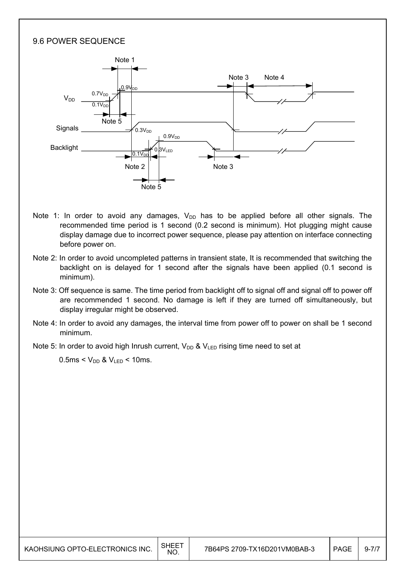### 9.6 POWER SEQUENCE



- Note 1: In order to avoid any damages,  $V_{DD}$  has to be applied before all other signals. The recommended time period is 1 second (0.2 second is minimum). Hot plugging might cause display damage due to incorrect power sequence, please pay attention on interface connecting before power on.
- Note 2: In order to avoid uncompleted patterns in transient state, It is recommended that switching the backlight on is delayed for 1 second after the signals have been applied (0.1 second is minimum).
- Note 3: Off sequence is same. The time period from backlight off to signal off and signal off to power off are recommended 1 second. No damage is left if they are turned off simultaneously, but display irregular might be observed.
- Note 4: In order to avoid any damages, the interval time from power off to power on shall be 1 second minimum.
- Note 5: In order to avoid high Inrush current,  $V_{DD}$  &  $V_{LED}$  rising time need to set at

 $0.5$ ms <  $V_{DD}$  &  $V_{LED}$  < 10ms.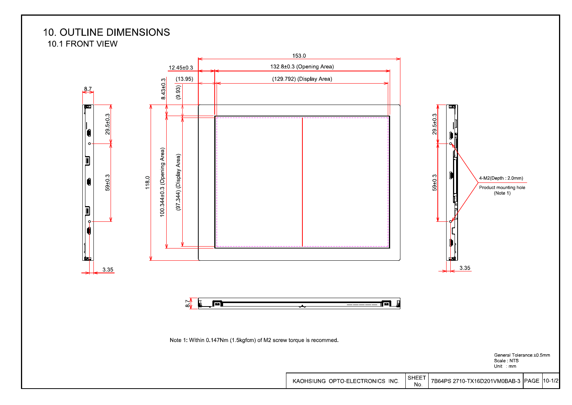## **10. OUTLINE DIMENSIONS** 10.1 FRONT VIEW

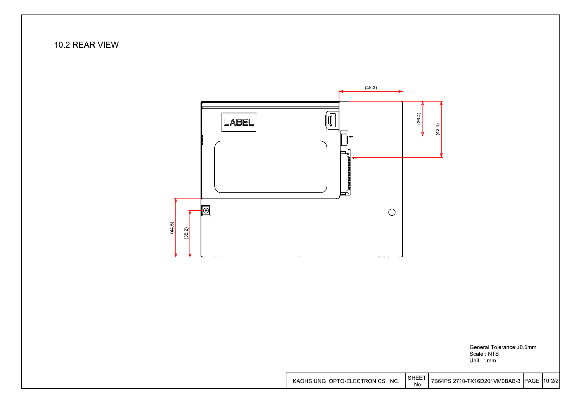



General Tolerance: ±0.5mm Scale NTS Unit : mm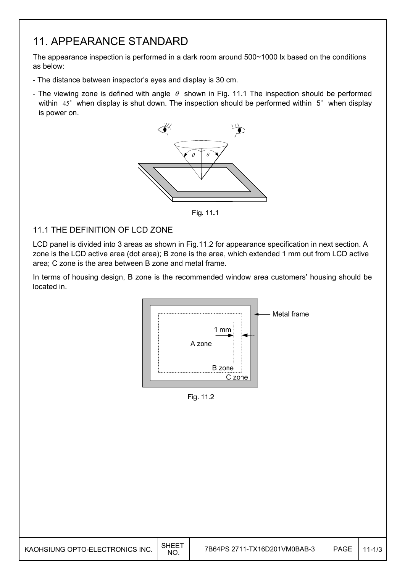# 11. APPEARANCE STANDARD

The appearance inspection is performed in a dark room around 500~1000 lx based on the conditions as below:

- The distance between inspector's eyes and display is 30 cm.
- The viewing zone is defined with angle  $\theta$  shown in Fig. 11.1 The inspection should be performed within  $45^\circ$  when display is shut down. The inspection should be performed within  $5^\circ$  when display is power on.



Fig. 11.1

### 11.1 THE DEFINITION OF LCD ZONE

LCD panel is divided into 3 areas as shown in Fig.11.2 for appearance specification in next section. A zone is the LCD active area (dot area); B zone is the area, which extended 1 mm out from LCD active area; C zone is the area between B zone and metal frame.

In terms of housing design, B zone is the recommended window area customers' housing should be located in.



Fig. 11.2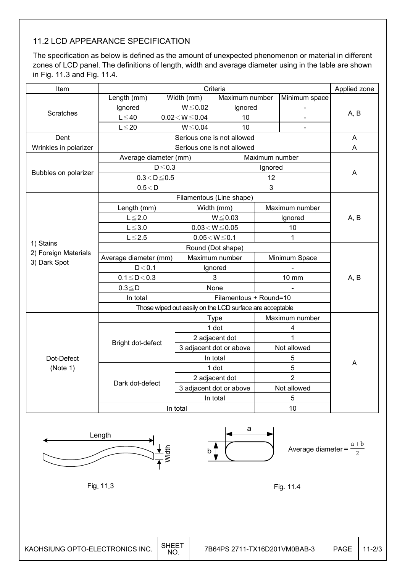## 11.2 LCD APPEARANCE SPECIFICATION

The specification as below is defined as the amount of unexpected phenomenon or material in different zones of LCD panel. The definitions of length, width and average diameter using in the table are shown in Fig. 11.3 and Fig. 11.4.

| Item                   |                        | Applied zone      |                          |                                                          |                |                |      |  |
|------------------------|------------------------|-------------------|--------------------------|----------------------------------------------------------|----------------|----------------|------|--|
|                        | Length (mm)            |                   | Width (mm)               | Maximum number                                           |                | Minimum space  |      |  |
|                        | Ignored                |                   | $W \le 0.02$             | Ignored                                                  |                | -              |      |  |
| Scratches              | $L \leq 40$            |                   | $0.02\!<\!W\!\leq\!0.04$ | 10                                                       |                |                | A, B |  |
|                        | $L \leq 20$            |                   | $W \le 0.04$             | 10                                                       |                | $\blacksquare$ |      |  |
| Dent                   |                        |                   |                          | Serious one is not allowed                               |                |                | A    |  |
| Wrinkles in polarizer  |                        |                   |                          | Serious one is not allowed                               |                |                | A    |  |
|                        | Average diameter (mm)  |                   |                          |                                                          | Maximum number |                |      |  |
|                        |                        | $D \le 0.3$       |                          |                                                          | Ignored        |                |      |  |
| Bubbles on polarizer   | $0.3\!<\!D\!\leq\!0.5$ |                   |                          |                                                          | 12             |                | A    |  |
|                        | 0.5 < D                |                   |                          |                                                          | 3              |                |      |  |
|                        |                        |                   |                          | Filamentous (Line shape)                                 |                |                |      |  |
|                        | Length (mm)            |                   |                          | Width (mm)                                               |                | Maximum number |      |  |
|                        | $L \leq 2.0$           |                   | $W \le 0.03$             |                                                          | Ignored        |                | A, B |  |
|                        | $L \le 3.0$            |                   |                          | $0.03\!<\!W\!\!\leq\!0.05$                               | 10             |                |      |  |
|                        | $L \le 2.5$            |                   |                          | $0.05\!<\!W\!\leq\!0.1$                                  |                | 1              |      |  |
| 1) Stains              |                        | Round (Dot shape) |                          |                                                          |                |                |      |  |
| 2) Foreign Materials   | Average diameter (mm)  |                   | Maximum number           |                                                          | Minimum Space  |                |      |  |
| 3) Dark Spot           | D < 0.1                |                   |                          | Ignored                                                  |                |                |      |  |
|                        | $0.1 \leq D < 0.3$     |                   |                          | 3                                                        |                | <b>10 mm</b>   | A, B |  |
|                        | $0.3 \leq D$           |                   |                          | None                                                     |                |                |      |  |
|                        | In total               |                   |                          | Filamentous + Round=10                                   |                |                |      |  |
|                        |                        |                   |                          | Those wiped out easily on the LCD surface are acceptable |                |                |      |  |
|                        |                        |                   |                          | <b>Type</b>                                              |                | Maximum number |      |  |
|                        |                        |                   |                          | 1 dot                                                    |                | 4              |      |  |
|                        |                        |                   |                          | 2 adjacent dot                                           |                | 1              |      |  |
| Dot-Defect<br>(Note 1) | Bright dot-defect      |                   |                          | 3 adjacent dot or above                                  |                | Not allowed    |      |  |
|                        |                        |                   |                          | In total                                                 |                | 5              |      |  |
|                        |                        |                   |                          | 1 dot                                                    |                | 5              |      |  |
|                        |                        |                   |                          | 2 adjacent dot                                           |                | $\overline{2}$ |      |  |
|                        | Dark dot-defect        |                   |                          | 3 adjacent dot or above                                  |                | Not allowed    |      |  |
|                        |                        |                   |                          | In total                                                 |                | $\mathbf 5$    | A    |  |
|                        |                        |                   | In total                 |                                                          |                | 10             |      |  |



Fig. 11.3

a



Fig. 11.4

KAOHSIUNG OPTO-ELECTRONICS INC.  $\Big|\!\begin{array}{c} \text{SHEET} \ \text{NO.} \end{array}\!\Big|$ 7B64PS 2711-TX16D201VM0BAB-3 | PAGE 11-2/3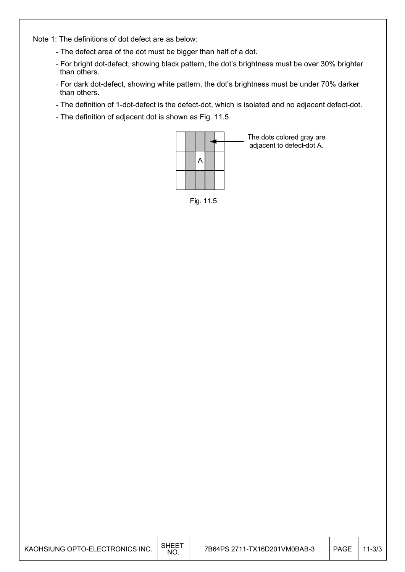Note 1: The definitions of dot defect are as below:

- The defect area of the dot must be bigger than half of a dot.
- For bright dot-defect, showing black pattern, the dot's brightness must be over 30% brighter than others.
- For dark dot-defect, showing white pattern, the dot's brightness must be under 70% darker than others.
- The definition of 1-dot-defect is the defect-dot, which is isolated and no adjacent defect-dot.
- The definition of adjacent dot is shown as Fig. 11.5.



The dots colored gray are adjacent to defect-dot A.

Fig. 11.5

| KAOHSIUNG OPTO-ELECTRONICS INC. | <b>SHEE</b><br>NO. | 7B64PS 2711-TX16D201VM0BAB-3 | <b>PAGE</b> | $11 - 3/3$ |
|---------------------------------|--------------------|------------------------------|-------------|------------|
|---------------------------------|--------------------|------------------------------|-------------|------------|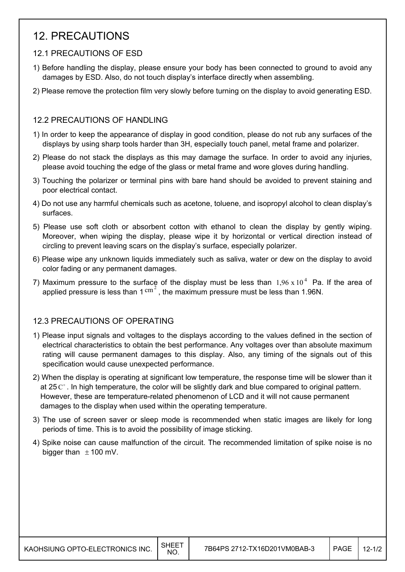# 12. PRECAUTIONS

## 12.1 PRECAUTIONS OF ESD

- 1) Before handling the display, please ensure your body has been connected to ground to avoid any damages by ESD. Also, do not touch display's interface directly when assembling.
- 2) Please remove the protection film very slowly before turning on the display to avoid generating ESD.

## 12.2 PRECAUTIONS OF HANDLING

- 1) In order to keep the appearance of display in good condition, please do not rub any surfaces of the displays by using sharp tools harder than 3H, especially touch panel, metal frame and polarizer.
- 2) Please do not stack the displays as this may damage the surface. In order to avoid any injuries, please avoid touching the edge of the glass or metal frame and wore gloves during handling.
- 3) Touching the polarizer or terminal pins with bare hand should be avoided to prevent staining and poor electrical contact.
- 4) Do not use any harmful chemicals such as acetone, toluene, and isopropyl alcohol to clean display's surfaces.
- 5) Please use soft cloth or absorbent cotton with ethanol to clean the display by gently wiping. Moreover, when wiping the display, please wipe it by horizontal or vertical direction instead of circling to prevent leaving scars on the display's surface, especially polarizer.
- 6) Please wipe any unknown liquids immediately such as saliva, water or dew on the display to avoid color fading or any permanent damages.
- 7) Maximum pressure to the surface of the display must be less than  $1,96 \times 10^4$  Pa. If the area of applied pressure is less than  $1 \text{ cm}^2$ , the maximum pressure must be less than 1.96N.

## 12.3 PRECAUTIONS OF OPERATING

- 1) Please input signals and voltages to the displays according to the values defined in the section of electrical characteristics to obtain the best performance. Any voltages over than absolute maximum rating will cause permanent damages to this display. Also, any timing of the signals out of this specification would cause unexpected performance.
- 2) When the display is operating at significant low temperature, the response time will be slower than it at 25 $C^{\circ}$ . In high temperature, the color will be slightly dark and blue compared to original pattern. However, these are temperature-related phenomenon of LCD and it will not cause permanent damages to the display when used within the operating temperature.
- 3) The use of screen saver or sleep mode is recommended when static images are likely for long periods of time. This is to avoid the possibility of image sticking.
- 4) Spike noise can cause malfunction of the circuit. The recommended limitation of spike noise is no bigger than  $\pm$  100 mV.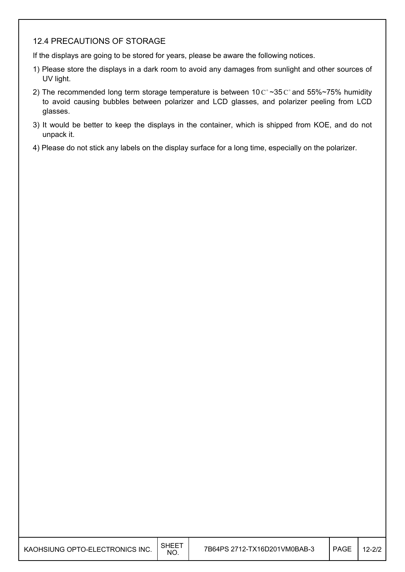### 12.4 PRECAUTIONS OF STORAGE

If the displays are going to be stored for years, please be aware the following notices.

- 1) Please store the displays in a dark room to avoid any damages from sunlight and other sources of UV light.
- 2) The recommended long term storage temperature is between 10  $C^{\circ}$  ~35  $C^{\circ}$  and 55%~75% humidity to avoid causing bubbles between polarizer and LCD glasses, and polarizer peeling from LCD glasses.
- 3) It would be better to keep the displays in the container, which is shipped from KOE, and do not unpack it.
- 4) Please do not stick any labels on the display surface for a long time, especially on the polarizer.